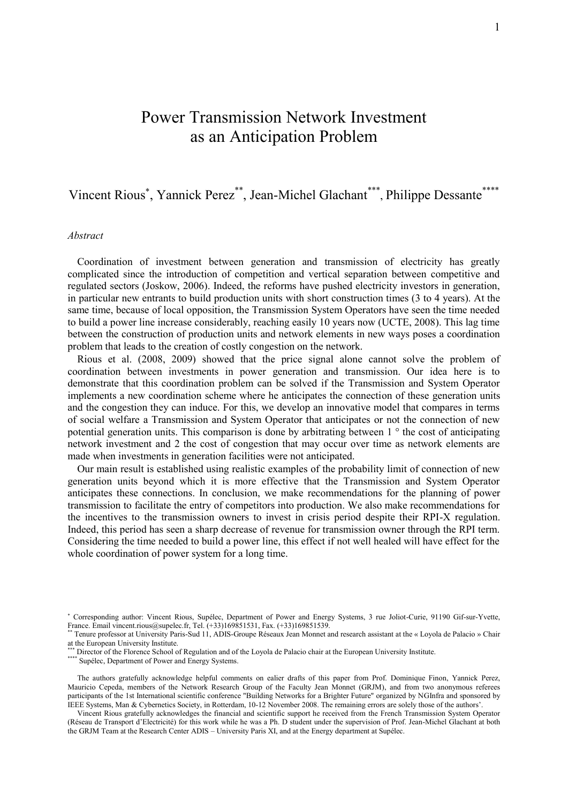# Power Transmission Network Investment as an Anticipation Problem

## Vincent Rious<sup>\*</sup>, Yannick Perez<sup>\*\*</sup>, Jean-Michel Glachant<sup>\*\*\*</sup>, Philippe Dessante<sup>\*\*\*\*</sup>

#### *Abstract*

Coordination of investment between generation and transmission of electricity has greatly complicated since the introduction of competition and vertical separation between competitive and regulated sectors (Joskow, 2006). Indeed, the reforms have pushed electricity investors in generation, in particular new entrants to build production units with short construction times (3 to 4 years). At the same time, because of local opposition, the Transmission System Operators have seen the time needed to build a power line increase considerably, reaching easily 10 years now (UCTE, 2008). This lag time between the construction of production units and network elements in new ways poses a coordination problem that leads to the creation of costly congestion on the network.

Rious et al. (2008, 2009) showed that the price signal alone cannot solve the problem of coordination between investments in power generation and transmission. Our idea here is to demonstrate that this coordination problem can be solved if the Transmission and System Operator implements a new coordination scheme where he anticipates the connection of these generation units and the congestion they can induce. For this, we develop an innovative model that compares in terms of social welfare a Transmission and System Operator that anticipates or not the connection of new potential generation units. This comparison is done by arbitrating between 1 ° the cost of anticipating network investment and 2 the cost of congestion that may occur over time as network elements are made when investments in generation facilities were not anticipated.

Our main result is established using realistic examples of the probability limit of connection of new generation units beyond which it is more effective that the Transmission and System Operator anticipates these connections. In conclusion, we make recommendations for the planning of power transmission to facilitate the entry of competitors into production. We also make recommendations for the incentives to the transmission owners to invest in crisis period despite their RPI-X regulation. Indeed, this period has seen a sharp decrease of revenue for transmission owner through the RPI term. Considering the time needed to build a power line, this effect if not well healed will have effect for the whole coordination of power system for a long time.

Corresponding author: Vincent Rious, Supélec, Department of Power and Energy Systems, 3 rue Joliot-Curie, 91190 Gif-sur-Yvette, France. Email vincent.rious@supelec.fr, Tel. (+33)169851531, Fax. (+33)169851539.

Tenure professor at University Paris-Sud 11, ADIS-Groupe Réseaux Jean Monnet and research assistant at the « Loyola de Palacio » Chair at the European University Institute.

<sup>\*\*\*</sup> Director of the Florence School of Regulation and of the Loyola de Palacio chair at the European University Institute.

<sup>\*\*\*\*\*</sup> Supélec, Department of Power and Energy Systems.

The authors gratefully acknowledge helpful comments on ealier drafts of this paper from Prof. Dominique Finon, Yannick Perez, Mauricio Cepeda, members of the Network Research Group of the Faculty Jean Monnet (GRJM), and from two anonymous referees participants of the 1st International scientific conference "Building Networks for a Brighter Future" organized by NGInfra and sponsored by IEEE Systems, Man & Cybernetics Society, in Rotterdam, 10-12 November 2008. The remaining errors are solely those of the authors'.

Vincent Rious gratefully acknowledges the financial and scientific support he received from the French Transmission System Operator (Réseau de Transport d'Electricité) for this work while he was a Ph. D student under the supervision of Prof. Jean-Michel Glachant at both the GRJM Team at the Research Center ADIS – University Paris XI, and at the Energy department at Supélec.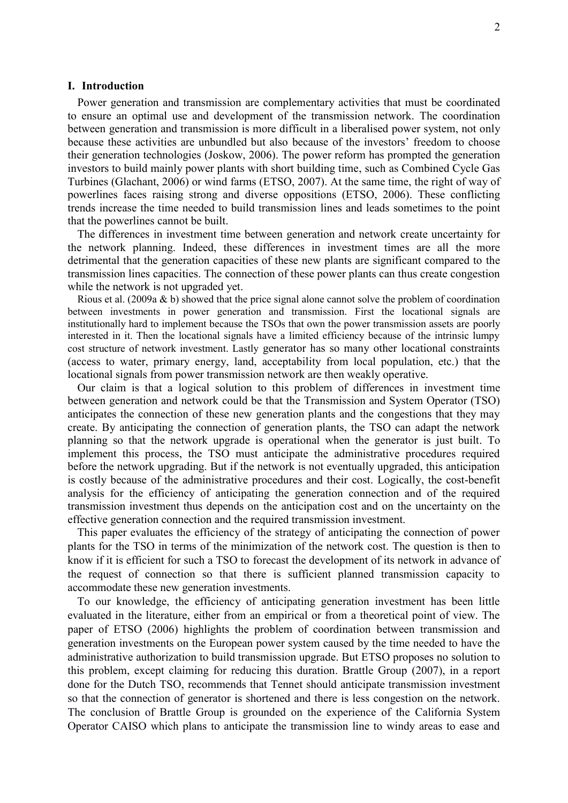### **I. Introduction**

Power generation and transmission are complementary activities that must be coordinated to ensure an optimal use and development of the transmission network. The coordination between generation and transmission is more difficult in a liberalised power system, not only because these activities are unbundled but also because of the investors' freedom to choose their generation technologies (Joskow, 2006). The power reform has prompted the generation investors to build mainly power plants with short building time, such as Combined Cycle Gas Turbines (Glachant, 2006) or wind farms (ETSO, 2007). At the same time, the right of way of powerlines faces raising strong and diverse oppositions (ETSO, 2006). These conflicting trends increase the time needed to build transmission lines and leads sometimes to the point that the powerlines cannot be built.

The differences in investment time between generation and network create uncertainty for the network planning. Indeed, these differences in investment times are all the more detrimental that the generation capacities of these new plants are significant compared to the transmission lines capacities. The connection of these power plants can thus create congestion while the network is not upgraded yet.

Rious et al. (2009a & b) showed that the price signal alone cannot solve the problem of coordination between investments in power generation and transmission. First the locational signals are institutionally hard to implement because the TSOs that own the power transmission assets are poorly interested in it. Then the locational signals have a limited efficiency because of the intrinsic lumpy cost structure of network investment. Lastly generator has so many other locational constraints (access to water, primary energy, land, acceptability from local population, etc.) that the locational signals from power transmission network are then weakly operative.

Our claim is that a logical solution to this problem of differences in investment time between generation and network could be that the Transmission and System Operator (TSO) anticipates the connection of these new generation plants and the congestions that they may create. By anticipating the connection of generation plants, the TSO can adapt the network planning so that the network upgrade is operational when the generator is just built. To implement this process, the TSO must anticipate the administrative procedures required before the network upgrading. But if the network is not eventually upgraded, this anticipation is costly because of the administrative procedures and their cost. Logically, the cost-benefit analysis for the efficiency of anticipating the generation connection and of the required transmission investment thus depends on the anticipation cost and on the uncertainty on the effective generation connection and the required transmission investment.

This paper evaluates the efficiency of the strategy of anticipating the connection of power plants for the TSO in terms of the minimization of the network cost. The question is then to know if it is efficient for such a TSO to forecast the development of its network in advance of the request of connection so that there is sufficient planned transmission capacity to accommodate these new generation investments.

To our knowledge, the efficiency of anticipating generation investment has been little evaluated in the literature, either from an empirical or from a theoretical point of view. The paper of ETSO (2006) highlights the problem of coordination between transmission and generation investments on the European power system caused by the time needed to have the administrative authorization to build transmission upgrade. But ETSO proposes no solution to this problem, except claiming for reducing this duration. Brattle Group (2007), in a report done for the Dutch TSO, recommends that Tennet should anticipate transmission investment so that the connection of generator is shortened and there is less congestion on the network. The conclusion of Brattle Group is grounded on the experience of the California System Operator CAISO which plans to anticipate the transmission line to windy areas to ease and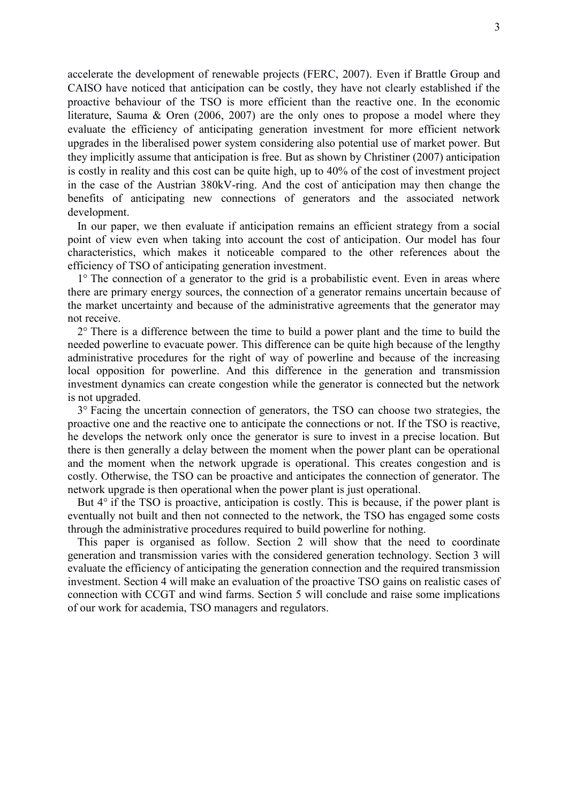accelerate the development of renewable projects (FERC, 2007). Even if Brattle Group and CAISO have noticed that anticipation can be costly, they have not clearly established if the proactive behaviour of the TSO is more efficient than the reactive one. In the economic literature, Sauma & Oren (2006, 2007) are the only ones to propose a model where they evaluate the efficiency of anticipating generation investment for more efficient network upgrades in the liberalised power system considering also potential use of market power. But they implicitly assume that anticipation is free. But as shown by Christiner (2007) anticipation is costly in reality and this cost can be quite high, up to 40% of the cost of investment project in the case of the Austrian 380kV-ring. And the cost of anticipation may then change the benefits of anticipating new connections of generators and the associated network development.

In our paper, we then evaluate if anticipation remains an efficient strategy from a social point of view even when taking into account the cost of anticipation. Our model has four characteristics, which makes it noticeable compared to the other references about the efficiency of TSO of anticipating generation investment.

1° The connection of a generator to the grid is a probabilistic event. Even in areas where there are primary energy sources, the connection of a generator remains uncertain because of the market uncertainty and because of the administrative agreements that the generator may not receive.

 $2^{\circ}$  There is a difference between the time to build a power plant and the time to build the needed powerline to evacuate power. This difference can be quite high because of the lengthy administrative procedures for the right of way of powerline and because of the increasing local opposition for powerline. And this difference in the generation and transmission investment dynamics can create congestion while the generator is connected but the network is not upgraded.

3° Facing the uncertain connection of generators, the TSO can choose two strategies, the proactive one and the reactive one to anticipate the connections or not. If the TSO is reactive, he develops the network only once the generator is sure to invest in a precise location. But there is then generally a delay between the moment when the power plant can be operational and the moment when the network upgrade is operational. This creates congestion and is costly. Otherwise, the TSO can be proactive and anticipates the connection of generator. The network upgrade is then operational when the power plant is just operational.

But  $4^{\circ}$  if the TSO is proactive, anticipation is costly. This is because, if the power plant is eventually not built and then not connected to the network, the TSO has engaged some costs through the administrative procedures required to build powerline for nothing.

This paper is organised as follow. Section 2 will show that the need to coordinate generation and transmission varies with the considered generation technology. Section 3 will evaluate the efficiency of anticipating the generation connection and the required transmission investment. Section 4 will make an evaluation of the proactive TSO gains on realistic cases of connection with CCGT and wind farms. Section 5 will conclude and raise some implications of our work for academia, TSO managers and regulators.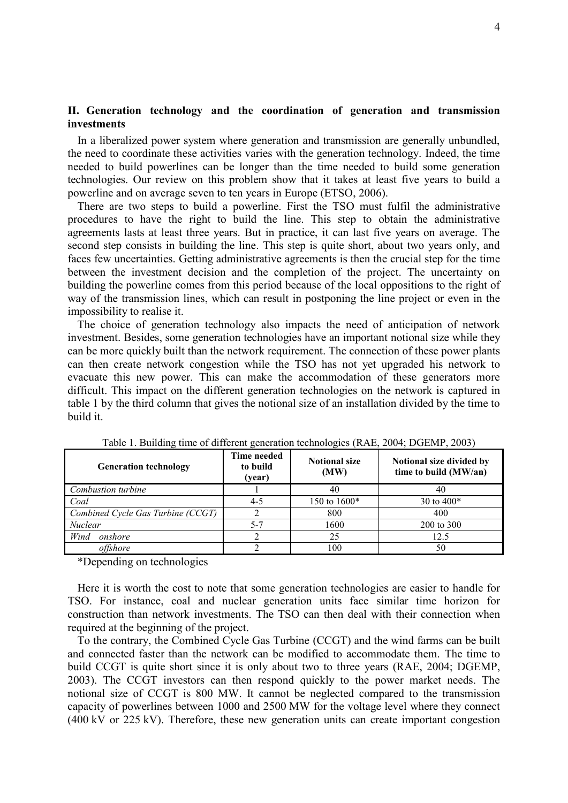## **II. Generation technology and the coordination of generation and transmission investments**

In a liberalized power system where generation and transmission are generally unbundled, the need to coordinate these activities varies with the generation technology. Indeed, the time needed to build powerlines can be longer than the time needed to build some generation technologies. Our review on this problem show that it takes at least five years to build a powerline and on average seven to ten years in Europe (ETSO, 2006).

There are two steps to build a powerline. First the TSO must fulfil the administrative procedures to have the right to build the line. This step to obtain the administrative agreements lasts at least three years. But in practice, it can last five years on average. The second step consists in building the line. This step is quite short, about two years only, and faces few uncertainties. Getting administrative agreements is then the crucial step for the time between the investment decision and the completion of the project. The uncertainty on building the powerline comes from this period because of the local oppositions to the right of way of the transmission lines, which can result in postponing the line project or even in the impossibility to realise it.

The choice of generation technology also impacts the need of anticipation of network investment. Besides, some generation technologies have an important notional size while they can be more quickly built than the network requirement. The connection of these power plants can then create network congestion while the TSO has not yet upgraded his network to evacuate this new power. This can make the accommodation of these generators more difficult. This impact on the different generation technologies on the network is captured in table 1 by the third column that gives the notional size of an installation divided by the time to build it.

| <b>Generation technology</b>      | Time needed<br>to build<br>(year) | <b>Notional size</b><br>(MW) | Notional size divided by<br>time to build (MW/an) |
|-----------------------------------|-----------------------------------|------------------------------|---------------------------------------------------|
| Combustion turbine                |                                   | 40                           | 40                                                |
| Coal                              | $4 - 5$                           | 150 to 1600*                 | 30 to $400*$                                      |
| Combined Cycle Gas Turbine (CCGT) |                                   | 800                          | 400                                               |
| <b>Nuclear</b>                    | $5 - 7$                           | 1600                         | 200 to 300                                        |
| Wind<br>onshore                   |                                   | 25                           | 12.5                                              |
| offshore                          |                                   | 100                          | 50                                                |

Table 1. Building time of different generation technologies (RAE, 2004; DGEMP, 2003)

\*Depending on technologies

Here it is worth the cost to note that some generation technologies are easier to handle for TSO. For instance, coal and nuclear generation units face similar time horizon for construction than network investments. The TSO can then deal with their connection when required at the beginning of the project.

To the contrary, the Combined Cycle Gas Turbine (CCGT) and the wind farms can be built and connected faster than the network can be modified to accommodate them. The time to build CCGT is quite short since it is only about two to three years (RAE, 2004; DGEMP, 2003). The CCGT investors can then respond quickly to the power market needs. The notional size of CCGT is 800 MW. It cannot be neglected compared to the transmission capacity of powerlines between 1000 and 2500 MW for the voltage level where they connect (400 kV or 225 kV). Therefore, these new generation units can create important congestion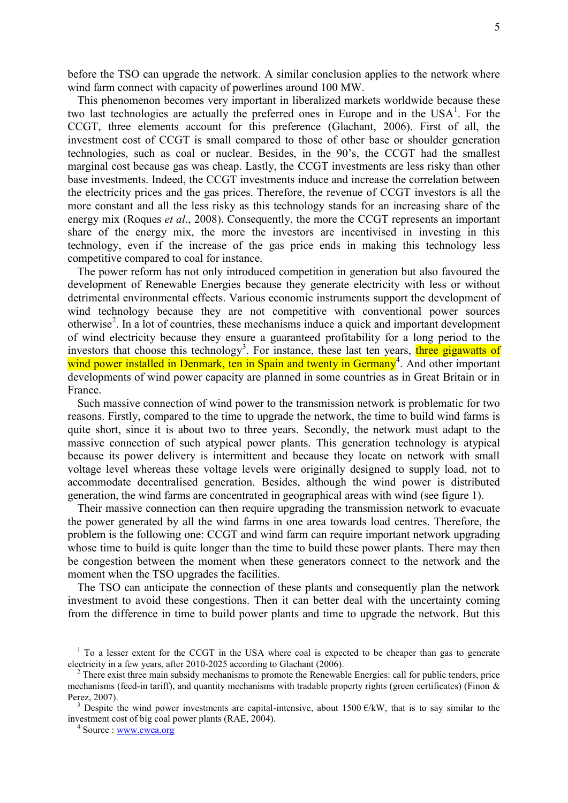before the TSO can upgrade the network. A similar conclusion applies to the network where wind farm connect with capacity of powerlines around 100 MW.

This phenomenon becomes very important in liberalized markets worldwide because these two last technologies are actually the preferred ones in Europe and in the  $USA<sup>1</sup>$ . For the CCGT, three elements account for this preference (Glachant, 2006). First of all, the investment cost of CCGT is small compared to those of other base or shoulder generation technologies, such as coal or nuclear. Besides, in the 90's, the CCGT had the smallest marginal cost because gas was cheap. Lastly, the CCGT investments are less risky than other base investments. Indeed, the CCGT investments induce and increase the correlation between the electricity prices and the gas prices. Therefore, the revenue of CCGT investors is all the more constant and all the less risky as this technology stands for an increasing share of the energy mix (Roques *et al*., 2008). Consequently, the more the CCGT represents an important share of the energy mix, the more the investors are incentivised in investing in this technology, even if the increase of the gas price ends in making this technology less competitive compared to coal for instance.

The power reform has not only introduced competition in generation but also favoured the development of Renewable Energies because they generate electricity with less or without detrimental environmental effects. Various economic instruments support the development of wind technology because they are not competitive with conventional power sources otherwise<sup>2</sup>. In a lot of countries, these mechanisms induce a quick and important development of wind electricity because they ensure a guaranteed profitability for a long period to the investors that choose this technology<sup>3</sup>. For instance, these last ten years, three gigawatts of wind power installed in Denmark, ten in Spain and twenty in Germany<sup>4</sup>. And other important developments of wind power capacity are planned in some countries as in Great Britain or in France.

Such massive connection of wind power to the transmission network is problematic for two reasons. Firstly, compared to the time to upgrade the network, the time to build wind farms is quite short, since it is about two to three years. Secondly, the network must adapt to the massive connection of such atypical power plants. This generation technology is atypical because its power delivery is intermittent and because they locate on network with small voltage level whereas these voltage levels were originally designed to supply load, not to accommodate decentralised generation. Besides, although the wind power is distributed generation, the wind farms are concentrated in geographical areas with wind (see figure 1).

Their massive connection can then require upgrading the transmission network to evacuate the power generated by all the wind farms in one area towards load centres. Therefore, the problem is the following one: CCGT and wind farm can require important network upgrading whose time to build is quite longer than the time to build these power plants. There may then be congestion between the moment when these generators connect to the network and the moment when the TSO upgrades the facilities.

The TSO can anticipate the connection of these plants and consequently plan the network investment to avoid these congestions. Then it can better deal with the uncertainty coming from the difference in time to build power plants and time to upgrade the network. But this

<sup>&</sup>lt;sup>1</sup> To a lesser extent for the CCGT in the USA where coal is expected to be cheaper than gas to generate electricity in a few years, after 2010-2025 according to Glachant (2006).

<sup>&</sup>lt;sup>2</sup> There exist three main subsidy mechanisms to promote the Renewable Energies: call for public tenders, price mechanisms (feed-in tariff), and quantity mechanisms with tradable property rights (green certificates) (Finon  $\&$ Perez, 2007).

<sup>&</sup>lt;sup>3</sup> Despite the wind power investments are capital-intensive, about 1500  $E/kW$ , that is to say similar to the investment cost of big coal power plants (RAE, 2004).

<sup>&</sup>lt;sup>4</sup> Source : <u>www.ewea.org</u>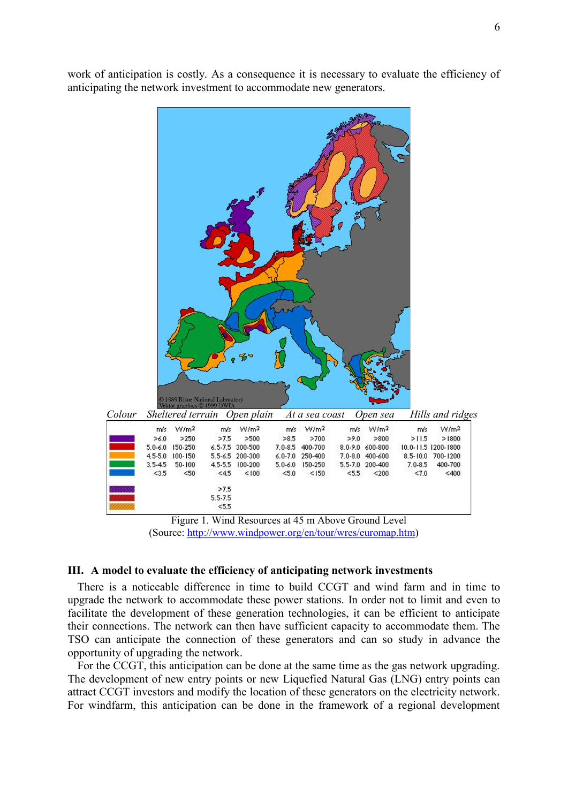work of anticipation is costly. As a consequence it is necessary to evaluate the efficiency of anticipating the network investment to accommodate new generators.



Figure 1. Wind Resources at 45 m Above Ground Level (Source: http://www.windpower.org/en/tour/wres/euromap.htm)

## **III. A model to evaluate the efficiency of anticipating network investments**

There is a noticeable difference in time to build CCGT and wind farm and in time to upgrade the network to accommodate these power stations. In order not to limit and even to facilitate the development of these generation technologies, it can be efficient to anticipate their connections. The network can then have sufficient capacity to accommodate them. The TSO can anticipate the connection of these generators and can so study in advance the opportunity of upgrading the network.

For the CCGT, this anticipation can be done at the same time as the gas network upgrading. The development of new entry points or new Liquefied Natural Gas (LNG) entry points can attract CCGT investors and modify the location of these generators on the electricity network. For windfarm, this anticipation can be done in the framework of a regional development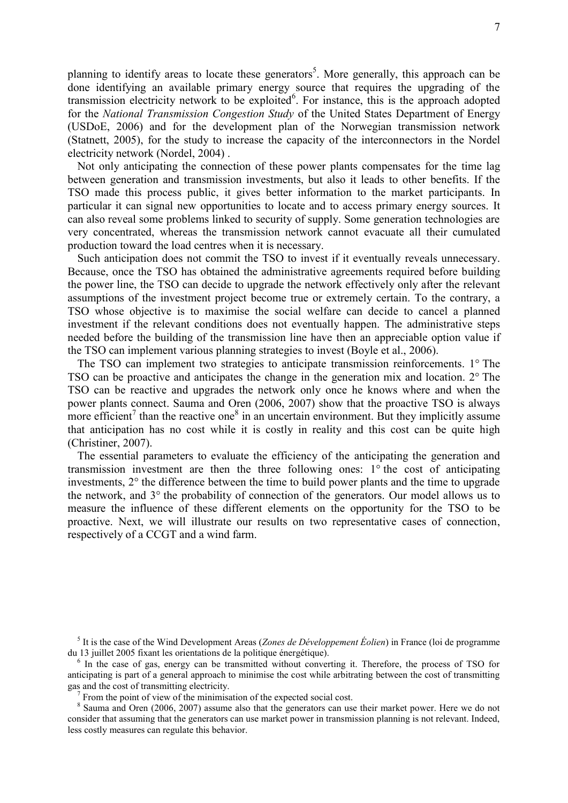planning to identify areas to locate these generators<sup>5</sup>. More generally, this approach can be done identifying an available primary energy source that requires the upgrading of the transmission electricity network to be exploited<sup>6</sup>. For instance, this is the approach adopted for the *National Transmission Congestion Study* of the United States Department of Energy (USDoE, 2006) and for the development plan of the Norwegian transmission network (Statnett, 2005), for the study to increase the capacity of the interconnectors in the Nordel electricity network (Nordel, 2004) .

Not only anticipating the connection of these power plants compensates for the time lag between generation and transmission investments, but also it leads to other benefits. If the TSO made this process public, it gives better information to the market participants. In particular it can signal new opportunities to locate and to access primary energy sources. It can also reveal some problems linked to security of supply. Some generation technologies are very concentrated, whereas the transmission network cannot evacuate all their cumulated production toward the load centres when it is necessary.

Such anticipation does not commit the TSO to invest if it eventually reveals unnecessary. Because, once the TSO has obtained the administrative agreements required before building the power line, the TSO can decide to upgrade the network effectively only after the relevant assumptions of the investment project become true or extremely certain. To the contrary, a TSO whose objective is to maximise the social welfare can decide to cancel a planned investment if the relevant conditions does not eventually happen. The administrative steps needed before the building of the transmission line have then an appreciable option value if the TSO can implement various planning strategies to invest (Boyle et al., 2006).

The TSO can implement two strategies to anticipate transmission reinforcements. 1° The TSO can be proactive and anticipates the change in the generation mix and location. 2° The TSO can be reactive and upgrades the network only once he knows where and when the power plants connect. Sauma and Oren (2006, 2007) show that the proactive TSO is always more efficient<sup>7</sup> than the reactive one<sup>8</sup> in an uncertain environment. But they implicitly assume that anticipation has no cost while it is costly in reality and this cost can be quite high (Christiner, 2007).

The essential parameters to evaluate the efficiency of the anticipating the generation and transmission investment are then the three following ones: 1° the cost of anticipating investments, 2° the difference between the time to build power plants and the time to upgrade the network, and 3° the probability of connection of the generators. Our model allows us to measure the influence of these different elements on the opportunity for the TSO to be proactive. Next, we will illustrate our results on two representative cases of connection, respectively of a CCGT and a wind farm.

<sup>5</sup> It is the case of the Wind Development Areas (*Zones de Développement Éolien*) in France (loi de programme du 13 juillet 2005 fixant les orientations de la politique énergétique).

<sup>&</sup>lt;sup>6</sup> In the case of gas, energy can be transmitted without converting it. Therefore, the process of TSO for anticipating is part of a general approach to minimise the cost while arbitrating between the cost of transmitting gas and the cost of transmitting electricity.

<sup>7</sup> From the point of view of the minimisation of the expected social cost.

<sup>&</sup>lt;sup>8</sup> Sauma and Oren (2006, 2007) assume also that the generators can use their market power. Here we do not consider that assuming that the generators can use market power in transmission planning is not relevant. Indeed, less costly measures can regulate this behavior.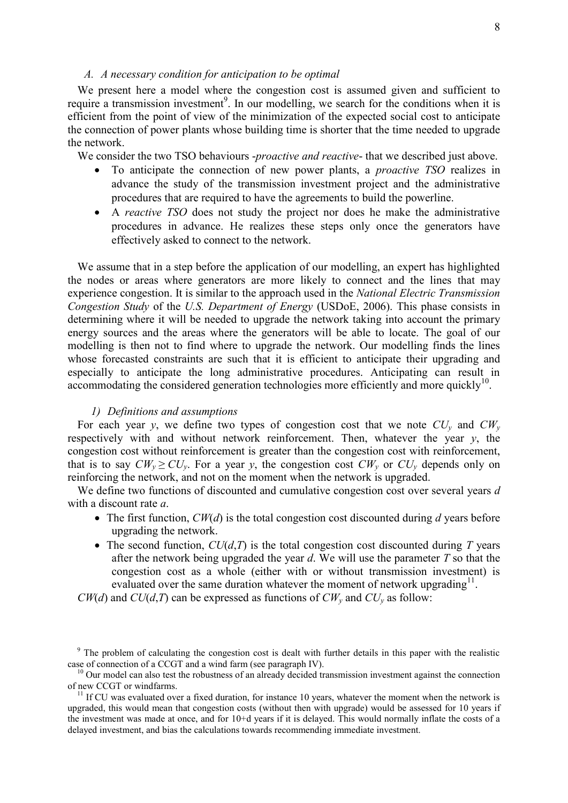## *A. A necessary condition for anticipation to be optimal*

We present here a model where the congestion cost is assumed given and sufficient to require a transmission investment<sup>9</sup>. In our modelling, we search for the conditions when it is efficient from the point of view of the minimization of the expected social cost to anticipate the connection of power plants whose building time is shorter that the time needed to upgrade the network.

We consider the two TSO behaviours -*proactive and reactive*- that we described just above.

- To anticipate the connection of new power plants, a *proactive TSO* realizes in advance the study of the transmission investment project and the administrative procedures that are required to have the agreements to build the powerline.
- A *reactive TSO* does not study the project nor does he make the administrative procedures in advance. He realizes these steps only once the generators have effectively asked to connect to the network.

We assume that in a step before the application of our modelling, an expert has highlighted the nodes or areas where generators are more likely to connect and the lines that may experience congestion. It is similar to the approach used in the *National Electric Transmission Congestion Study* of the *U.S. Department of Energy* (USDoE, 2006). This phase consists in determining where it will be needed to upgrade the network taking into account the primary energy sources and the areas where the generators will be able to locate. The goal of our modelling is then not to find where to upgrade the network. Our modelling finds the lines whose forecasted constraints are such that it is efficient to anticipate their upgrading and especially to anticipate the long administrative procedures. Anticipating can result in accommodating the considered generation technologies more efficiently and more quickly<sup>10</sup>.

## *1) Definitions and assumptions*

For each year *y*, we define two types of congestion cost that we note  $CU<sub>y</sub>$  and  $CW<sub>y</sub>$ respectively with and without network reinforcement. Then, whatever the year *y*, the congestion cost without reinforcement is greater than the congestion cost with reinforcement, that is to say  $CW_v \geq CU_v$ . For a year *y*, the congestion cost  $CW_v$  or  $CU_v$  depends only on reinforcing the network, and not on the moment when the network is upgraded.

We define two functions of discounted and cumulative congestion cost over several years *d* with a discount rate *a*.

- The first function, *CW*(*d*) is the total congestion cost discounted during *d* years before upgrading the network.
- The second function,  $CU(d,T)$  is the total congestion cost discounted during *T* years after the network being upgraded the year *d*. We will use the parameter *T* so that the congestion cost as a whole (either with or without transmission investment) is evaluated over the same duration whatever the moment of network upgrading $^{11}$ .

*CW*(*d*) and *CU*(*d*,*T*) can be expressed as functions of  $CW_v$  and  $CU_v$  as follow:

 $10$  Our model can also test the robustness of an already decided transmission investment against the connection of new CCGT or windfarms.

 $11$  If CU was evaluated over a fixed duration, for instance 10 years, whatever the moment when the network is upgraded, this would mean that congestion costs (without then with upgrade) would be assessed for 10 years if the investment was made at once, and for 10+d years if it is delayed. This would normally inflate the costs of a delayed investment, and bias the calculations towards recommending immediate investment.

<sup>&</sup>lt;sup>9</sup> The problem of calculating the congestion cost is dealt with further details in this paper with the realistic case of connection of a CCGT and a wind farm (see paragraph IV).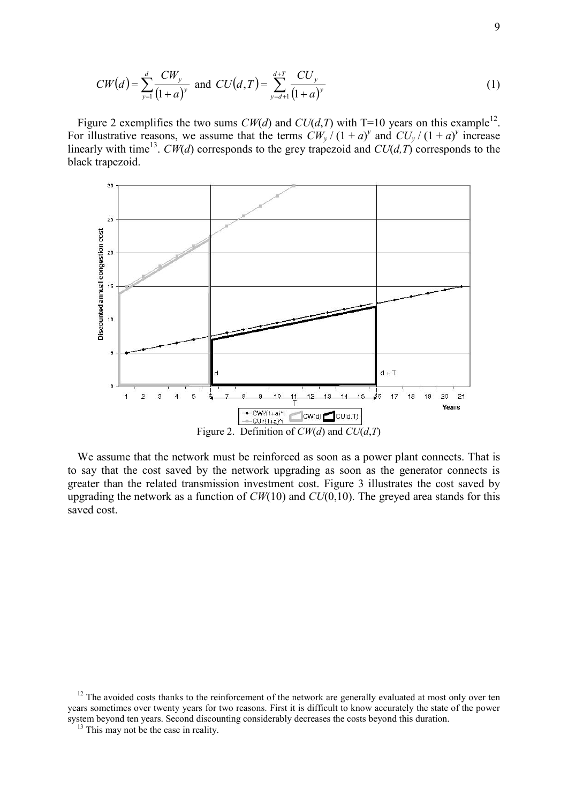$$
CW(d) = \sum_{y=1}^{d} \frac{CW_y}{(1+a)^y} \text{ and } CU(d,T) = \sum_{y=d+1}^{d+T} \frac{CU_y}{(1+a)^y}
$$
 (1)

Figure 2 exemplifies the two sums  $CW(d)$  and  $CU(d,T)$  with T=10 years on this example<sup>12</sup>. For illustrative reasons, we assume that the terms  $CW_y/(1+a)^y$  and  $CU_y/(1+a)^y$  increase linearly with time<sup>13</sup>. *CW*(*d*) corresponds to the grey trapezoid and *CU*(*d,T*) corresponds to the black trapezoid.



We assume that the network must be reinforced as soon as a power plant connects. That is to say that the cost saved by the network upgrading as soon as the generator connects is greater than the related transmission investment cost. Figure 3 illustrates the cost saved by upgrading the network as a function of *CW*(10) and *CU*(0,10). The greyed area stands for this saved cost.

<sup>&</sup>lt;sup>12</sup> The avoided costs thanks to the reinforcement of the network are generally evaluated at most only over ten years sometimes over twenty years for two reasons. First it is difficult to know accurately the state of the power system beyond ten years. Second discounting considerably decreases the costs beyond this duration.

<sup>&</sup>lt;sup>13</sup> This may not be the case in reality.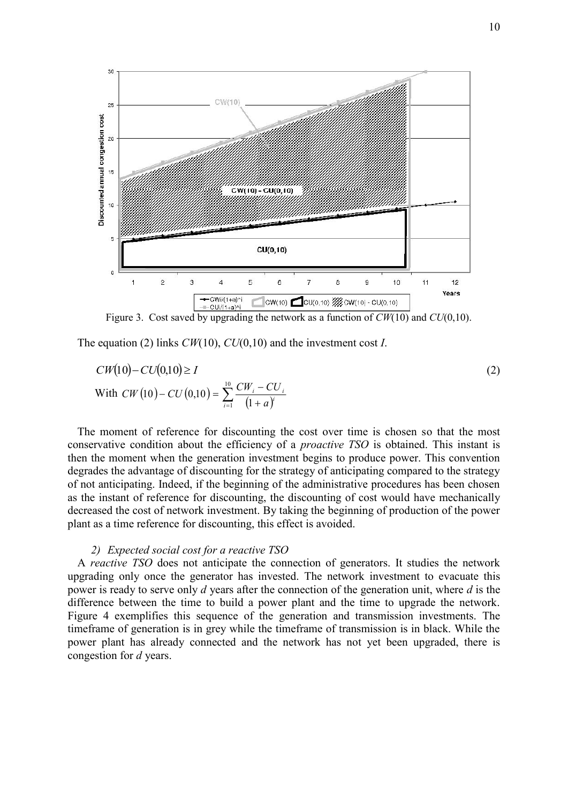

Figure 3. Cost saved by upgrading the network as a function of *CW*(10) and *CU*(0,10).

The equation (2) links *CW*(10), *CU*(0,10) and the investment cost *I*.

$$
CW(10) - CU(0,10) \ge I
$$
  
With  $CW(10) - CU(0,10) = \sum_{i=1}^{10} \frac{CW_i - CU_i}{(1+a)^i}$  (2)

The moment of reference for discounting the cost over time is chosen so that the most conservative condition about the efficiency of a *proactive TSO* is obtained. This instant is then the moment when the generation investment begins to produce power. This convention degrades the advantage of discounting for the strategy of anticipating compared to the strategy of not anticipating. Indeed, if the beginning of the administrative procedures has been chosen as the instant of reference for discounting, the discounting of cost would have mechanically decreased the cost of network investment. By taking the beginning of production of the power plant as a time reference for discounting, this effect is avoided.

## *2) Expected social cost for a reactive TSO*

A *reactive TSO* does not anticipate the connection of generators. It studies the network upgrading only once the generator has invested. The network investment to evacuate this power is ready to serve only *d* years after the connection of the generation unit, where *d* is the difference between the time to build a power plant and the time to upgrade the network. Figure 4 exemplifies this sequence of the generation and transmission investments. The timeframe of generation is in grey while the timeframe of transmission is in black. While the power plant has already connected and the network has not yet been upgraded, there is congestion for *d* years.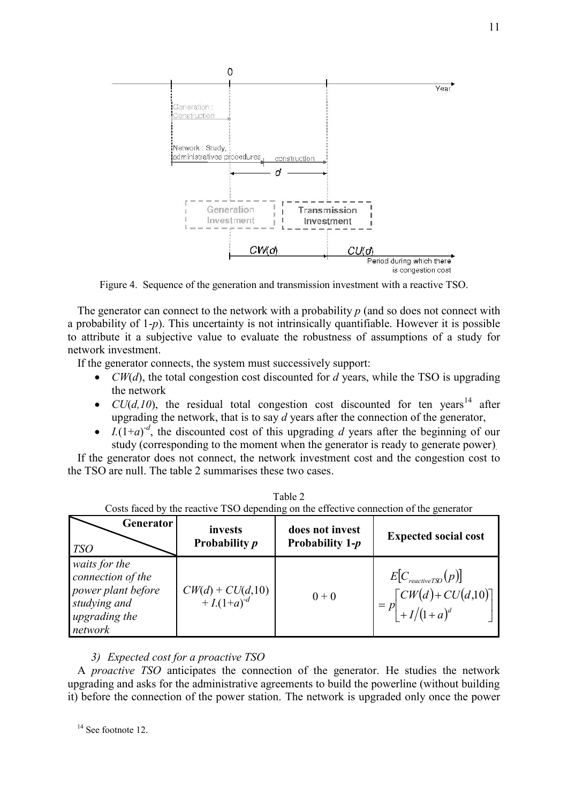

Figure 4. Sequence of the generation and transmission investment with a reactive TSO.

The generator can connect to the network with a probability *p* (and so does not connect with a probability of 1-*p*). This uncertainty is not intrinsically quantifiable. However it is possible to attribute it a subjective value to evaluate the robustness of assumptions of a study for network investment.

If the generator connects, the system must successively support:

- *CW(d)*, the total congestion cost discounted for *d* years, while the TSO is upgrading the network
- $CU(d,10)$ , the residual total congestion cost discounted for ten years<sup>14</sup> after upgrading the network, that is to say *d* years after the connection of the generator,
- $I.(1+a)^{-d}$ , the discounted cost of this upgrading *d* years after the beginning of our study (corresponding to the moment when the generator is ready to generate power).

If the generator does not connect, the network investment cost and the congestion cost to the TSO are null. The table 2 summarises these two cases.

| Costs faced by the reactive TSO depending on the effective connection of the generator               |                                         |                                      |                                                                                                        |  |  |  |
|------------------------------------------------------------------------------------------------------|-----------------------------------------|--------------------------------------|--------------------------------------------------------------------------------------------------------|--|--|--|
| <b>Generator</b><br><b>TSO</b>                                                                       | invests<br>Probability <i>p</i>         | does not invest<br>Probability $1-p$ | <b>Expected social cost</b>                                                                            |  |  |  |
| waits for the<br>connection of the<br>power plant before<br>studying and<br>upgrading the<br>network | $CW(d) + CU(d, 10)$<br>+ $I.(1+a)^{-d}$ | $0 + 0$                              | $E[C_{\text{reactive}TSD}(p)]$<br>$= p \begin{bmatrix} CW(d) + CU(d, 10) \\ + I/(1+a)^d \end{bmatrix}$ |  |  |  |

| Table 2                                                                                |
|----------------------------------------------------------------------------------------|
| Costs faced by the reactive TSO depending on the effective connection of the generator |

## *3) Expected cost for a proactive TSO*

A *proactive TSO* anticipates the connection of the generator. He studies the network upgrading and asks for the administrative agreements to build the powerline (without building it) before the connection of the power station. The network is upgraded only once the power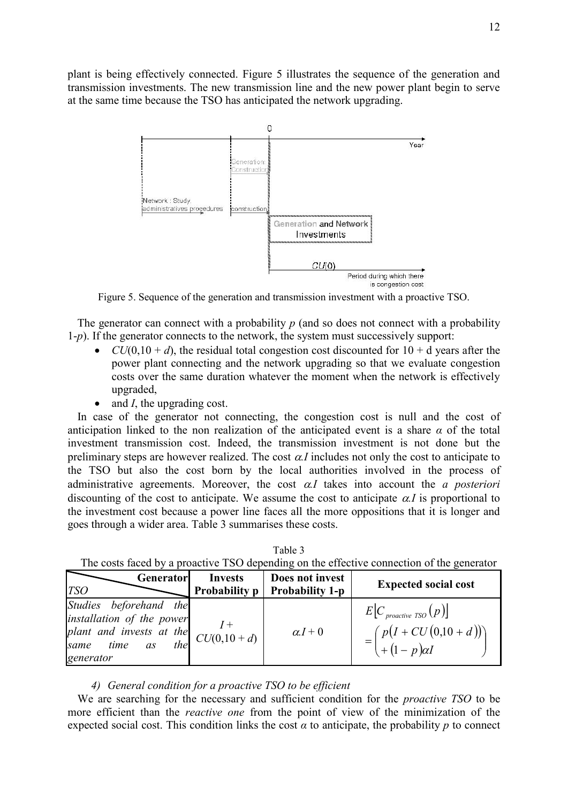plant is being effectively connected. Figure 5 illustrates the sequence of the generation and transmission investments. The new transmission line and the new power plant begin to serve at the same time because the TSO has anticipated the network upgrading.



Figure 5. Sequence of the generation and transmission investment with a proactive TSO.

The generator can connect with a probability p (and so does not connect with a probability 1-*p*). If the generator connects to the network, the system must successively support:

- $CU(0,10 + d)$ , the residual total congestion cost discounted for  $10 + d$  vears after the power plant connecting and the network upgrading so that we evaluate congestion costs over the same duration whatever the moment when the network is effectively upgraded,
- and *I*, the upgrading cost.

In case of the generator not connecting, the congestion cost is null and the cost of anticipation linked to the non realization of the anticipated event is a share  $\alpha$  of the total investment transmission cost. Indeed, the transmission investment is not done but the preliminary steps are however realized. The cost  $\alpha$ *I* includes not only the cost to anticipate to the TSO but also the cost born by the local authorities involved in the process of administrative agreements. Moreover, the cost  $\alpha I$  takes into account the *a posteriori* discounting of the cost to anticipate. We assume the cost to anticipate  $\alpha I$  is proportional to the investment cost because a power line faces all the more oppositions that it is longer and goes through a wider area. Table 3 summarises these costs.

| The costs faced by a proactive TSO depending on the effective connection of the generator                                                                                                                                                |                                        |                                           |                                                                               |  |  |  |
|------------------------------------------------------------------------------------------------------------------------------------------------------------------------------------------------------------------------------------------|----------------------------------------|-------------------------------------------|-------------------------------------------------------------------------------|--|--|--|
| Generator<br><b>TSO</b>                                                                                                                                                                                                                  | <b>Invests</b><br><b>Probability p</b> | Does not invest<br><b>Probability 1-p</b> | <b>Expected social cost</b>                                                   |  |  |  |
| Studies beforehand the<br>installation of the power<br>plant and invests at the $\begin{bmatrix} 1 \\ C U(0, 10 + d) \end{bmatrix}$<br>same time as the $\begin{bmatrix} 1 \\ C U(0, 10 + d) \end{bmatrix}$<br>same<br>time<br>generator |                                        | $\alpha I + 0$                            | $E[C_{\text{proactive TSO}}(p)]$<br>$=\binom{p(I+CU(0,10+d))}{(1-p)\alpha I}$ |  |  |  |

Table 3  $T_{\rm b}$  a part faced by a procedure  $T_{\rm s}$  depending on the effective connection of the generator

## *4) General condition for a proactive TSO to be efficient*

We are searching for the necessary and sufficient condition for the *proactive TSO* to be more efficient than the *reactive one* from the point of view of the minimization of the expected social cost. This condition links the cost  $\alpha$  to anticipate, the probability  $p$  to connect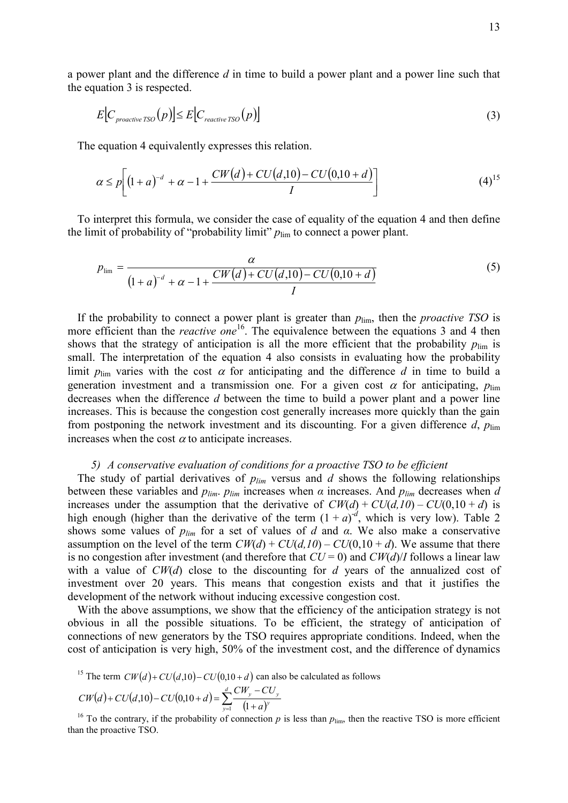a power plant and the difference *d* in time to build a power plant and a power line such that the equation 3 is respected.

$$
E\big[C_{\text{proactive TSO}}(p)\big] \le E\big[C_{\text{reactive TSO}}(p)\big] \tag{3}
$$

The equation 4 equivalently expresses this relation.

$$
\alpha \le p \bigg[ \big(1 + a\big)^{-d} + \alpha - 1 + \frac{CW(d) + CU(d, 10) - CU(0, 10 + d)}{I} \bigg] \tag{4}^{15}
$$

To interpret this formula, we consider the case of equality of the equation 4 and then define the limit of probability of "probability limit"  $p_{\text{lim}}$  to connect a power plant.

$$
p_{\text{lim}} = \frac{\alpha}{(1+a)^{-d} + \alpha - 1 + \frac{CW(d) + CU(d,10) - CU(0,10 + d)}{I}}
$$
(5)

If the probability to connect a power plant is greater than  $p_{\text{lim}}$ , then the *proactive TSO* is more efficient than the *reactive one*<sup>16</sup>. The equivalence between the equations 3 and 4 then shows that the strategy of anticipation is all the more efficient that the probability  $p_{\text{lim}}$  is small. The interpretation of the equation 4 also consists in evaluating how the probability limit  $p_{\text{lim}}$  varies with the cost  $\alpha$  for anticipating and the difference *d* in time to build a generation investment and a transmission one. For a given cost  $\alpha$  for anticipating,  $p_{\text{lim}}$ decreases when the difference *d* between the time to build a power plant and a power line increases. This is because the congestion cost generally increases more quickly than the gain from postponing the network investment and its discounting. For a given difference  $d$ ,  $p_{\text{lim}}$ increases when the cost  $\alpha$  to anticipate increases.

### *5) A conservative evaluation of conditions for a proactive TSO to be efficient*

The study of partial derivatives of  $p_{lim}$  versus and  $d$  shows the following relationships between these variables and  $p_{lim}$ .  $p_{lim}$  increases when  $\alpha$  increases. And  $p_{lim}$  decreases when  $d$ increases under the assumption that the derivative of  $CW(d) + CU(d, 10) - CU(0, 10 + d)$  is high enough (higher than the derivative of the term  $(1 + a)^{-d}$ , which is very low). Table 2 shows some values of *plim* for a set of values of *d* and *α*. We also make a conservative assumption on the level of the term  $CW(d) + CU(d, 10) - CU(0, 10 + d)$ . We assume that there is no congestion after investment (and therefore that  $CU = 0$ ) and  $CW(d)/I$  follows a linear law with a value of *CW*(*d*) close to the discounting for *d* years of the annualized cost of investment over 20 years. This means that congestion exists and that it justifies the development of the network without inducing excessive congestion cost.

With the above assumptions, we show that the efficiency of the anticipation strategy is not obvious in all the possible situations. To be efficient, the strategy of anticipation of connections of new generators by the TSO requires appropriate conditions. Indeed, when the cost of anticipation is very high, 50% of the investment cost, and the difference of dynamics

<sup>15</sup> The term 
$$
CW(d) + CU(d, 10) - CU(0, 10 + d)
$$
 can also be calculated as follows

$$
CW(d) + CU(d,10) - CU(0,10+d) = \sum_{y=1}^{d} \frac{CW_y - CU_y}{(1+a)^y}
$$

<sup>16</sup> To the contrary, if the probability of connection  $p$  is less than  $p_{\text{lim}}$ , then the reactive TSO is more efficient than the proactive TSO.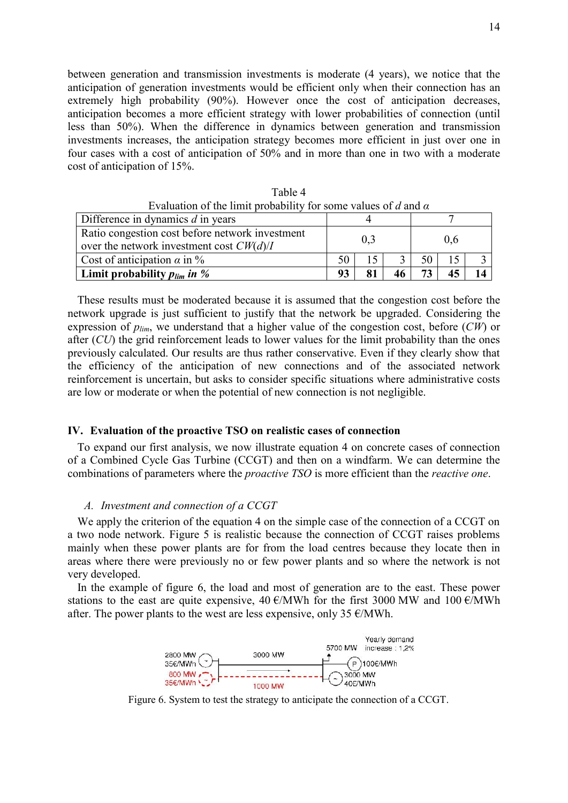between generation and transmission investments is moderate (4 years), we notice that the anticipation of generation investments would be efficient only when their connection has an extremely high probability (90%). However once the cost of anticipation decreases, anticipation becomes a more efficient strategy with lower probabilities of connection (until less than 50%). When the difference in dynamics between generation and transmission investments increases, the anticipation strategy becomes more efficient in just over one in four cases with a cost of anticipation of 50% and in more than one in two with a moderate cost of anticipation of 15%.

| Evaluation of the limit probability for some values of d and $\alpha$                         |     |    |    |      |     |  |
|-----------------------------------------------------------------------------------------------|-----|----|----|------|-----|--|
| Difference in dynamics $d$ in years                                                           |     |    |    |      |     |  |
| Ratio congestion cost before network investment<br>over the network investment cost $CW(d)/I$ | 0,3 |    |    | 0,6  |     |  |
| Cost of anticipation $\alpha$ in %                                                            | 50  | 15 |    | 50 l | -15 |  |
| Limit probability $p_{lim}$ in %                                                              | 93  |    | 46 |      | 45  |  |

Table 4

These results must be moderated because it is assumed that the congestion cost before the network upgrade is just sufficient to justify that the network be upgraded. Considering the expression of *plim*, we understand that a higher value of the congestion cost, before (*CW*) or after (*CU*) the grid reinforcement leads to lower values for the limit probability than the ones previously calculated. Our results are thus rather conservative. Even if they clearly show that the efficiency of the anticipation of new connections and of the associated network reinforcement is uncertain, but asks to consider specific situations where administrative costs are low or moderate or when the potential of new connection is not negligible.

## **IV. Evaluation of the proactive TSO on realistic cases of connection**

To expand our first analysis, we now illustrate equation 4 on concrete cases of connection of a Combined Cycle Gas Turbine (CCGT) and then on a windfarm. We can determine the combinations of parameters where the *proactive TSO* is more efficient than the *reactive one*.

### *A. Investment and connection of a CCGT*

We apply the criterion of the equation 4 on the simple case of the connection of a CCGT on a two node network. Figure 5 is realistic because the connection of CCGT raises problems mainly when these power plants are for from the load centres because they locate then in areas where there were previously no or few power plants and so where the network is not very developed.

In the example of figure 6, the load and most of generation are to the east. These power stations to the east are quite expensive, 40  $\epsilon$ /MWh for the first 3000 MW and 100  $\epsilon$ /MWh after. The power plants to the west are less expensive, only 35  $\epsilon$ /MWh.



Figure 6. System to test the strategy to anticipate the connection of a CCGT.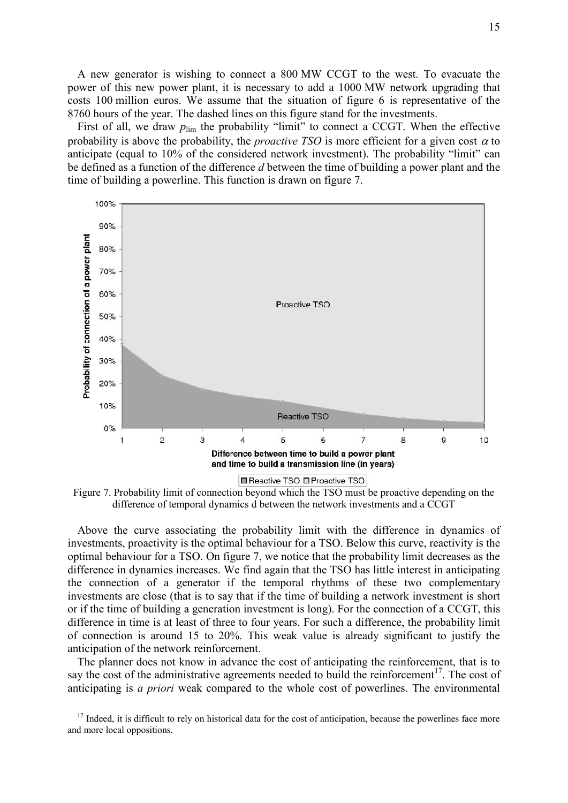A new generator is wishing to connect a 800 MW CCGT to the west. To evacuate the power of this new power plant, it is necessary to add a 1000 MW network upgrading that costs 100 million euros. We assume that the situation of figure 6 is representative of the 8760 hours of the year. The dashed lines on this figure stand for the investments.

First of all, we draw  $p_{\text{lim}}$  the probability "limit" to connect a CCGT. When the effective probability is above the probability, the *proactive TSO* is more efficient for a given cost  $\alpha$  to anticipate (equal to 10% of the considered network investment). The probability "limit" can be defined as a function of the difference *d* between the time of building a power plant and the time of building a powerline. This function is drawn on figure 7.



Figure 7. Probability limit of connection beyond which the TSO must be proactive depending on the difference of temporal dynamics d between the network investments and a CCGT

Above the curve associating the probability limit with the difference in dynamics of investments, proactivity is the optimal behaviour for a TSO. Below this curve, reactivity is the optimal behaviour for a TSO. On figure 7, we notice that the probability limit decreases as the difference in dynamics increases. We find again that the TSO has little interest in anticipating the connection of a generator if the temporal rhythms of these two complementary investments are close (that is to say that if the time of building a network investment is short or if the time of building a generation investment is long). For the connection of a CCGT, this difference in time is at least of three to four years. For such a difference, the probability limit of connection is around 15 to 20%. This weak value is already significant to justify the anticipation of the network reinforcement.

The planner does not know in advance the cost of anticipating the reinforcement, that is to say the cost of the administrative agreements needed to build the reinforcement<sup>17</sup>. The cost of anticipating is *a priori* weak compared to the whole cost of powerlines. The environmental

 $17$  Indeed, it is difficult to rely on historical data for the cost of anticipation, because the powerlines face more and more local oppositions.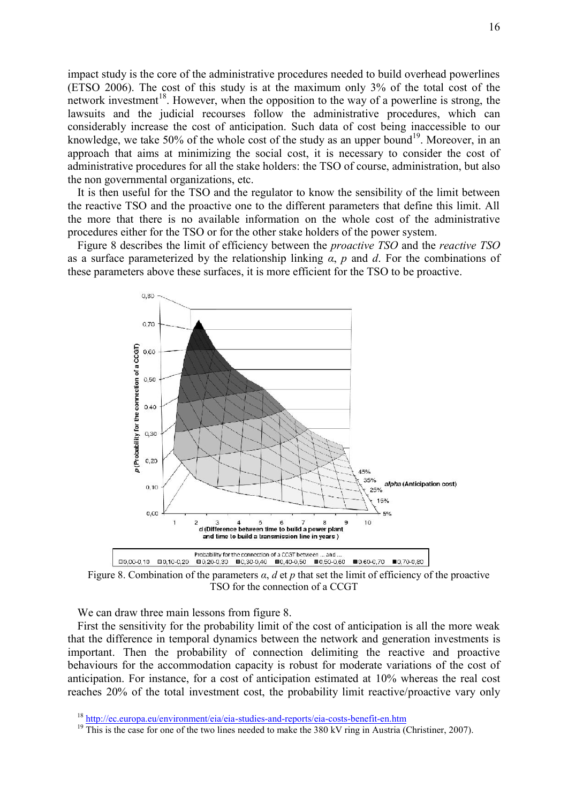impact study is the core of the administrative procedures needed to build overhead powerlines (ETSO 2006). The cost of this study is at the maximum only 3% of the total cost of the network investment<sup>18</sup>. However, when the opposition to the way of a powerline is strong, the lawsuits and the judicial recourses follow the administrative procedures, which can considerably increase the cost of anticipation. Such data of cost being inaccessible to our knowledge, we take 50% of the whole cost of the study as an upper bound<sup>19</sup>. Moreover, in an approach that aims at minimizing the social cost, it is necessary to consider the cost of administrative procedures for all the stake holders: the TSO of course, administration, but also the non governmental organizations, etc.

It is then useful for the TSO and the regulator to know the sensibility of the limit between the reactive TSO and the proactive one to the different parameters that define this limit. All the more that there is no available information on the whole cost of the administrative procedures either for the TSO or for the other stake holders of the power system.

Figure 8 describes the limit of efficiency between the *proactive TSO* and the *reactive TSO* as a surface parameterized by the relationship linking *α*, *p* and *d*. For the combinations of these parameters above these surfaces, it is more efficient for the TSO to be proactive.



Figure 8. Combination of the parameters *α*, *d* et *p* that set the limit of efficiency of the proactive TSO for the connection of a CCGT

We can draw three main lessons from figure 8.

First the sensitivity for the probability limit of the cost of anticipation is all the more weak that the difference in temporal dynamics between the network and generation investments is important. Then the probability of connection delimiting the reactive and proactive behaviours for the accommodation capacity is robust for moderate variations of the cost of anticipation. For instance, for a cost of anticipation estimated at 10% whereas the real cost reaches 20% of the total investment cost, the probability limit reactive/proactive vary only

<sup>18</sup> http://ec.europa.eu/environment/eia/eia-studies-and-reports/eia-costs-benefit-en.htm

<sup>&</sup>lt;sup>19</sup> This is the case for one of the two lines needed to make the 380 kV ring in Austria (Christiner, 2007).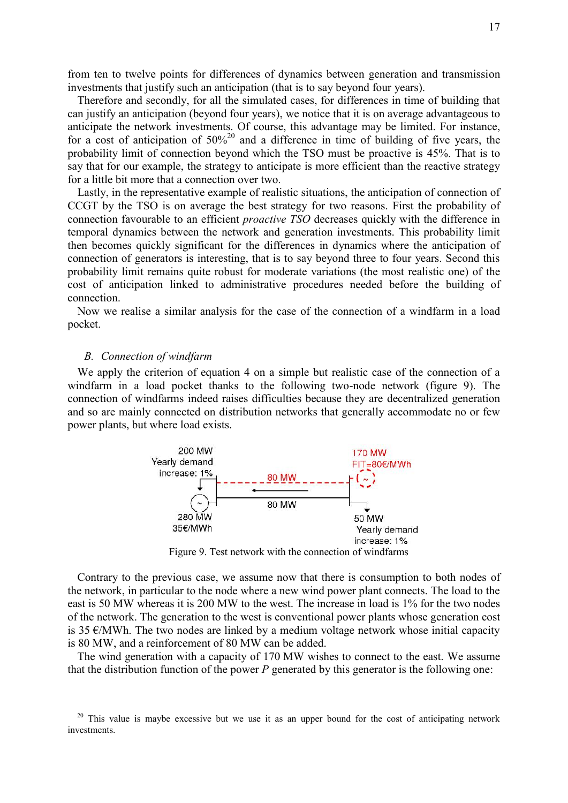from ten to twelve points for differences of dynamics between generation and transmission investments that justify such an anticipation (that is to say beyond four years).

Therefore and secondly, for all the simulated cases, for differences in time of building that can justify an anticipation (beyond four years), we notice that it is on average advantageous to anticipate the network investments. Of course, this advantage may be limited. For instance, for a cost of anticipation of  $50\%^{20}$  and a difference in time of building of five years, the probability limit of connection beyond which the TSO must be proactive is 45%. That is to say that for our example, the strategy to anticipate is more efficient than the reactive strategy for a little bit more that a connection over two.

Lastly, in the representative example of realistic situations, the anticipation of connection of CCGT by the TSO is on average the best strategy for two reasons. First the probability of connection favourable to an efficient *proactive TSO* decreases quickly with the difference in temporal dynamics between the network and generation investments. This probability limit then becomes quickly significant for the differences in dynamics where the anticipation of connection of generators is interesting, that is to say beyond three to four years. Second this probability limit remains quite robust for moderate variations (the most realistic one) of the cost of anticipation linked to administrative procedures needed before the building of connection.

Now we realise a similar analysis for the case of the connection of a windfarm in a load pocket.

## *B. Connection of windfarm*

We apply the criterion of equation 4 on a simple but realistic case of the connection of a windfarm in a load pocket thanks to the following two-node network (figure 9). The connection of windfarms indeed raises difficulties because they are decentralized generation and so are mainly connected on distribution networks that generally accommodate no or few power plants, but where load exists.



Figure 9. Test network with the connection of windfarms

Contrary to the previous case, we assume now that there is consumption to both nodes of the network, in particular to the node where a new wind power plant connects. The load to the east is 50 MW whereas it is 200 MW to the west. The increase in load is 1% for the two nodes of the network. The generation to the west is conventional power plants whose generation cost is 35  $\epsilon$ /MWh. The two nodes are linked by a medium voltage network whose initial capacity is 80 MW, and a reinforcement of 80 MW can be added.

The wind generation with a capacity of 170 MW wishes to connect to the east. We assume that the distribution function of the power *P* generated by this generator is the following one:

 $20$  This value is maybe excessive but we use it as an upper bound for the cost of anticipating network investments.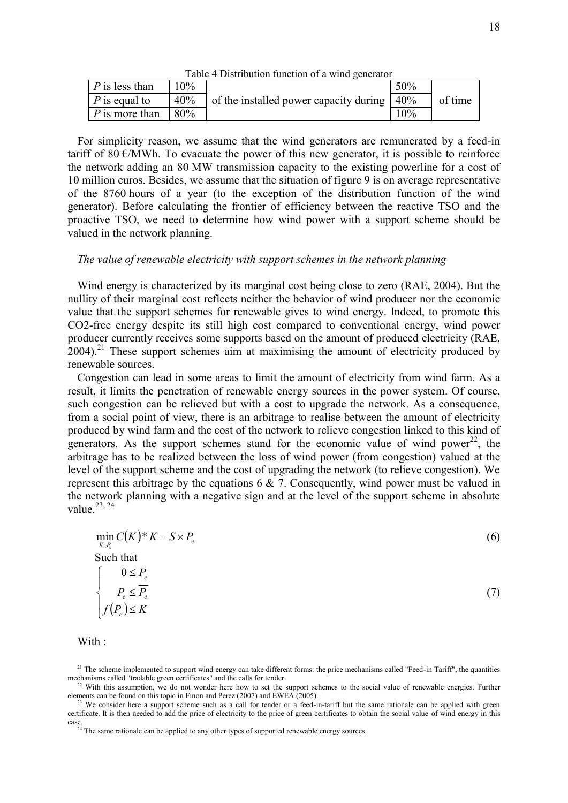| Table + Distribution function of a wind generator |        |                                        |     |         |  |
|---------------------------------------------------|--------|----------------------------------------|-----|---------|--|
| $\mid$ P is less than                             | $10\%$ |                                        | 50% |         |  |
| <i>P</i> is equal to                              | 40%    | of the installed power capacity during | 40% | of time |  |
| $\mid$ P is more than                             | 80%    |                                        | 10% |         |  |

Table 4 Distribution function of a wind generator

For simplicity reason, we assume that the wind generators are remunerated by a feed-in tariff of 80  $\epsilon$ /MWh. To evacuate the power of this new generator, it is possible to reinforce the network adding an 80 MW transmission capacity to the existing powerline for a cost of 10 million euros. Besides, we assume that the situation of figure 9 is on average representative of the 8760 hours of a year (to the exception of the distribution function of the wind generator). Before calculating the frontier of efficiency between the reactive TSO and the proactive TSO, we need to determine how wind power with a support scheme should be valued in the network planning.

## *The value of renewable electricity with support schemes in the network planning*

Wind energy is characterized by its marginal cost being close to zero (RAE, 2004). But the nullity of their marginal cost reflects neither the behavior of wind producer nor the economic value that the support schemes for renewable gives to wind energy. Indeed, to promote this CO2-free energy despite its still high cost compared to conventional energy, wind power producer currently receives some supports based on the amount of produced electricity (RAE,  $2004$ <sup>21</sup> These support schemes aim at maximising the amount of electricity produced by renewable sources.

Congestion can lead in some areas to limit the amount of electricity from wind farm. As a result, it limits the penetration of renewable energy sources in the power system. Of course, such congestion can be relieved but with a cost to upgrade the network. As a consequence, from a social point of view, there is an arbitrage to realise between the amount of electricity produced by wind farm and the cost of the network to relieve congestion linked to this kind of generators. As the support schemes stand for the economic value of wind power<sup>22</sup>, the arbitrage has to be realized between the loss of wind power (from congestion) valued at the level of the support scheme and the cost of upgrading the network (to relieve congestion). We represent this arbitrage by the equations 6 & 7. Consequently, wind power must be valued in the network planning with a negative sign and at the level of the support scheme in absolute value. $23, 24$ 

$$
\min_{K,P_e} C(K)^* K - S \times P_e
$$
\nSuch that\n
$$
\begin{cases}\n0 \le P_e \\
P_e \le \overline{P_e} \\
f(P_e) \le K\n\end{cases}
$$
\n(7)

With :

<sup>&</sup>lt;sup>21</sup> The scheme implemented to support wind energy can take different forms: the price mechanisms called "Feed-in Tariff", the quantities mechanisms called "tradable green certificates" and the calls for tender.

 $22$  With this assumption, we do not wonder here how to set the support schemes to the social value of renewable energies. Further elements can be found on this topic in Finon and Perez (2007) and EWEA (2005).

We consider here a support scheme such as a call for tender or a feed-in-tariff but the same rationale can be applied with green certificate. It is then needed to add the price of electricity to the price of green certificates to obtain the social value of wind energy in this case. <sup>24</sup> The same rationale can be applied to any other types of supported renewable energy sources.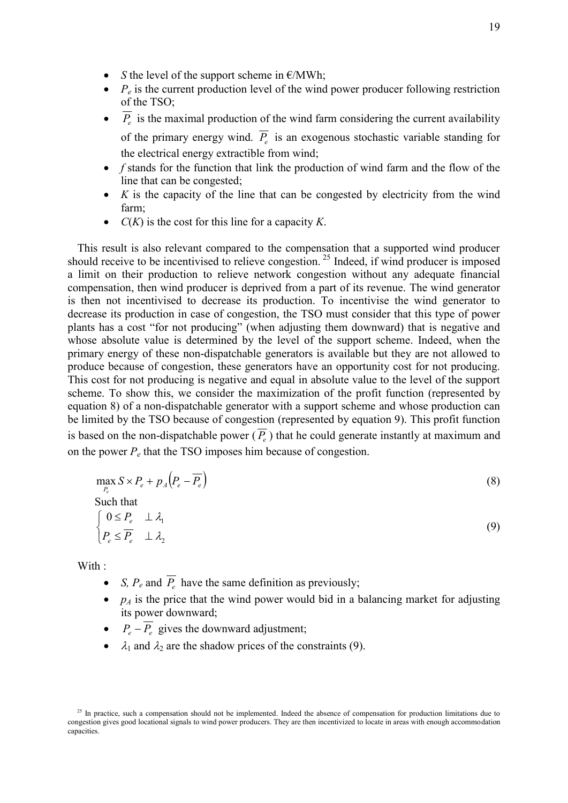- *S* the level of the support scheme in  $E/MWh$ ;
- $P_e$  is the current production level of the wind power producer following restriction of the TSO;
- $P_e$  is the maximal production of the wind farm considering the current availability of the primary energy wind. *P<sup>e</sup>* is an exogenous stochastic variable standing for the electrical energy extractible from wind;
- *f* stands for the function that link the production of wind farm and the flow of the line that can be congested;
- *K* is the capacity of the line that can be congested by electricity from the wind farm;
- *C*(*K*) is the cost for this line for a capacity *K*.

This result is also relevant compared to the compensation that a supported wind producer should receive to be incentivised to relieve congestion. <sup>25</sup> Indeed, if wind producer is imposed a limit on their production to relieve network congestion without any adequate financial compensation, then wind producer is deprived from a part of its revenue. The wind generator is then not incentivised to decrease its production. To incentivise the wind generator to decrease its production in case of congestion, the TSO must consider that this type of power plants has a cost "for not producing" (when adjusting them downward) that is negative and whose absolute value is determined by the level of the support scheme. Indeed, when the primary energy of these non-dispatchable generators is available but they are not allowed to produce because of congestion, these generators have an opportunity cost for not producing. This cost for not producing is negative and equal in absolute value to the level of the support scheme. To show this, we consider the maximization of the profit function (represented by equation 8) of a non-dispatchable generator with a support scheme and whose production can be limited by the TSO because of congestion (represented by equation 9). This profit function is based on the non-dispatchable power  $(P_e)$  that he could generate instantly at maximum and on the power  $P_e$  that the TSO imposes him because of congestion.

$$
\max_{P_e} S \times P_e + p_A (P_e - \overline{P_e})
$$
  
Such that  

$$
\begin{cases} 0 \le P_e \perp \lambda_1 \end{cases}
$$
 (8)

$$
\begin{cases} 0 \leq I_e & \text{if } \lambda_1 \\ P_e \leq \overline{P_e} & \text{if } \lambda_2 \end{cases} \tag{9}
$$

With :

- *S,*  $P_e$  and  $P_e$  have the same definition as previously;
- $p_A$  is the price that the wind power would bid in a balancing market for adjusting its power downward;
- $P_e \overline{P_e}$  gives the downward adjustment;
- $\lambda_1$  and  $\lambda_2$  are the shadow prices of the constraints (9).

 $25$  In practice, such a compensation should not be implemented. Indeed the absence of compensation for production limitations due to congestion gives good locational signals to wind power producers. They are then incentivized to locate in areas with enough accommodation capacities.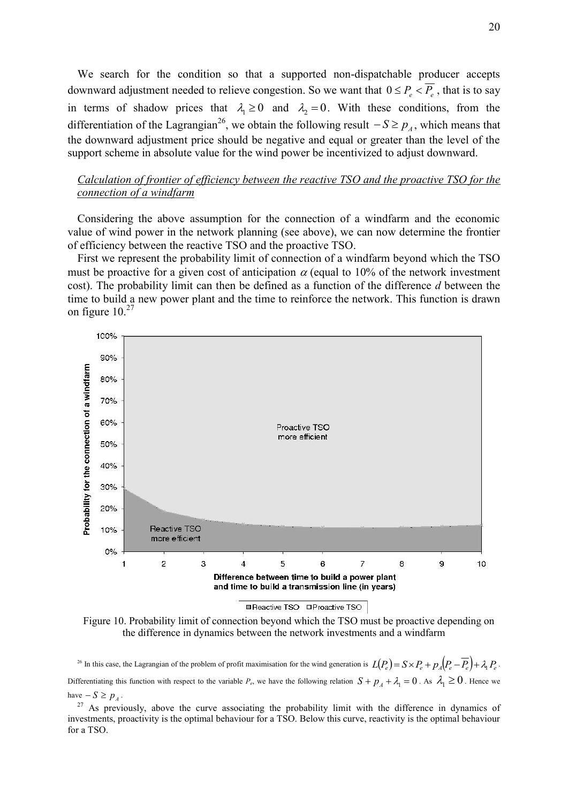We search for the condition so that a supported non-dispatchable producer accepts downward adjustment needed to relieve congestion. So we want that  $0 \le P_e < \overline{P_e}$ , that is to say in terms of shadow prices that  $\lambda_1 \ge 0$  and  $\lambda_2 = 0$ . With these conditions, from the differentiation of the Lagrangian<sup>26</sup>, we obtain the following result  $-S \ge p_A$ , which means that the downward adjustment price should be negative and equal or greater than the level of the support scheme in absolute value for the wind power be incentivized to adjust downward.

## *Calculation of frontier of efficiency between the reactive TSO and the proactive TSO for the connection of a windfarm*

Considering the above assumption for the connection of a windfarm and the economic value of wind power in the network planning (see above), we can now determine the frontier of efficiency between the reactive TSO and the proactive TSO.

First we represent the probability limit of connection of a windfarm beyond which the TSO must be proactive for a given cost of anticipation  $\alpha$  (equal to 10% of the network investment cost). The probability limit can then be defined as a function of the difference *d* between the time to build a new power plant and the time to reinforce the network. This function is drawn on figure  $10.<sup>27</sup>$ 



**■Reactive TSO □Proactive TSO** 

Figure 10. Probability limit of connection beyond which the TSO must be proactive depending on the difference in dynamics between the network investments and a windfarm

<sup>26</sup> In this case, the Lagrangian of the problem of profit maximisation for the wind generation is  $L(P_e) = S \times P_e + p_A (P_e - P_e) + \lambda_1 P_e$ . Differentiating this function with respect to the variable  $P_e$ , we have the following relation  $S + p_A + \lambda_1 = 0$ . As  $\lambda_1 \ge 0$ . Hence we have  $-S \ge p_1$ .

 $27$  As previously, above the curve associating the probability limit with the difference in dynamics of investments, proactivity is the optimal behaviour for a TSO. Below this curve, reactivity is the optimal behaviour for a TSO.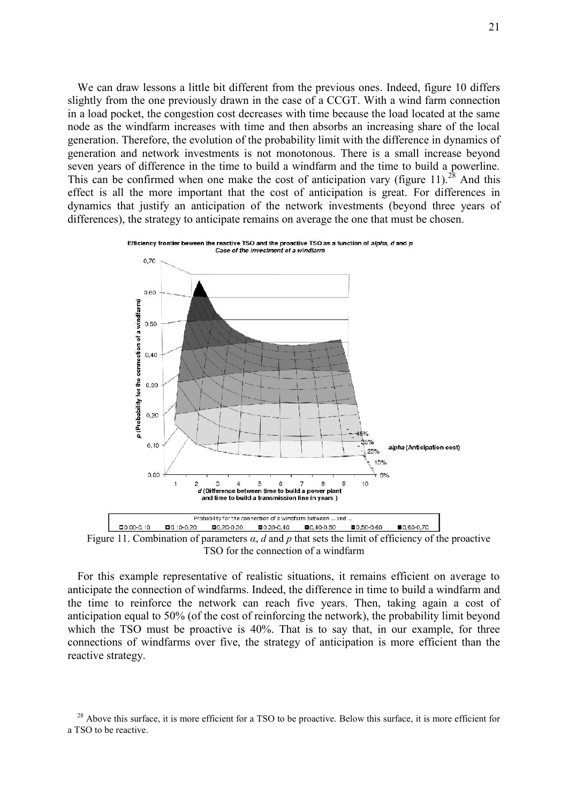We can draw lessons a little bit different from the previous ones. Indeed, figure 10 differs slightly from the one previously drawn in the case of a CCGT. With a wind farm connection in a load pocket, the congestion cost decreases with time because the load located at the same node as the windfarm increases with time and then absorbs an increasing share of the local generation. Therefore, the evolution of the probability limit with the difference in dynamics of generation and network investments is not monotonous. There is a small increase beyond seven years of difference in the time to build a windfarm and the time to build a powerline. This can be confirmed when one make the cost of anticipation vary (figure 11).<sup>28</sup> And this effect is all the more important that the cost of anticipation is great. For differences in dynamics that justify an anticipation of the network investments (beyond three years of differences), the strategy to anticipate remains on average the one that must be chosen.





For this example representative of realistic situations, it remains efficient on average to anticipate the connection of windfarms. Indeed, the difference in time to build a windfarm and the time to reinforce the network can reach five years. Then, taking again a cost of anticipation equal to 50% (of the cost of reinforcing the network), the probability limit beyond which the TSO must be proactive is 40%. That is to say that, in our example, for three connections of windfarms over five, the strategy of anticipation is more efficient than the reactive strategy.

<sup>&</sup>lt;sup>28</sup> Above this surface, it is more efficient for a TSO to be proactive. Below this surface, it is more efficient for a TSO to be reactive.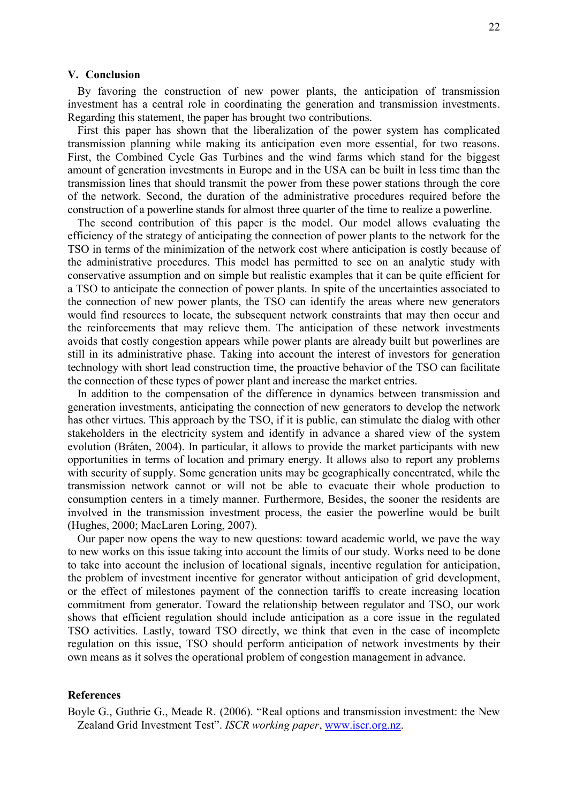## **V. Conclusion**

By favoring the construction of new power plants, the anticipation of transmission investment has a central role in coordinating the generation and transmission investments. Regarding this statement, the paper has brought two contributions.

First this paper has shown that the liberalization of the power system has complicated transmission planning while making its anticipation even more essential, for two reasons. First, the Combined Cycle Gas Turbines and the wind farms which stand for the biggest amount of generation investments in Europe and in the USA can be built in less time than the transmission lines that should transmit the power from these power stations through the core of the network. Second, the duration of the administrative procedures required before the construction of a powerline stands for almost three quarter of the time to realize a powerline.

The second contribution of this paper is the model. Our model allows evaluating the efficiency of the strategy of anticipating the connection of power plants to the network for the TSO in terms of the minimization of the network cost where anticipation is costly because of the administrative procedures. This model has permitted to see on an analytic study with conservative assumption and on simple but realistic examples that it can be quite efficient for a TSO to anticipate the connection of power plants. In spite of the uncertainties associated to the connection of new power plants, the TSO can identify the areas where new generators would find resources to locate, the subsequent network constraints that may then occur and the reinforcements that may relieve them. The anticipation of these network investments avoids that costly congestion appears while power plants are already built but powerlines are still in its administrative phase. Taking into account the interest of investors for generation technology with short lead construction time, the proactive behavior of the TSO can facilitate the connection of these types of power plant and increase the market entries.

In addition to the compensation of the difference in dynamics between transmission and generation investments, anticipating the connection of new generators to develop the network has other virtues. This approach by the TSO, if it is public, can stimulate the dialog with other stakeholders in the electricity system and identify in advance a shared view of the system evolution (Bråten, 2004). In particular, it allows to provide the market participants with new opportunities in terms of location and primary energy. It allows also to report any problems with security of supply. Some generation units may be geographically concentrated, while the transmission network cannot or will not be able to evacuate their whole production to consumption centers in a timely manner. Furthermore, Besides, the sooner the residents are involved in the transmission investment process, the easier the powerline would be built (Hughes, 2000; MacLaren Loring, 2007).

Our paper now opens the way to new questions: toward academic world, we pave the way to new works on this issue taking into account the limits of our study. Works need to be done to take into account the inclusion of locational signals, incentive regulation for anticipation, the problem of investment incentive for generator without anticipation of grid development, or the effect of milestones payment of the connection tariffs to create increasing location commitment from generator. Toward the relationship between regulator and TSO, our work shows that efficient regulation should include anticipation as a core issue in the regulated TSO activities. Lastly, toward TSO directly, we think that even in the case of incomplete regulation on this issue, TSO should perform anticipation of network investments by their own means as it solves the operational problem of congestion management in advance.

### **References**

Boyle G., Guthrie G., Meade R. (2006). "Real options and transmission investment: the New Zealand Grid Investment Test". *ISCR working paper*, www.iscr.org.nz.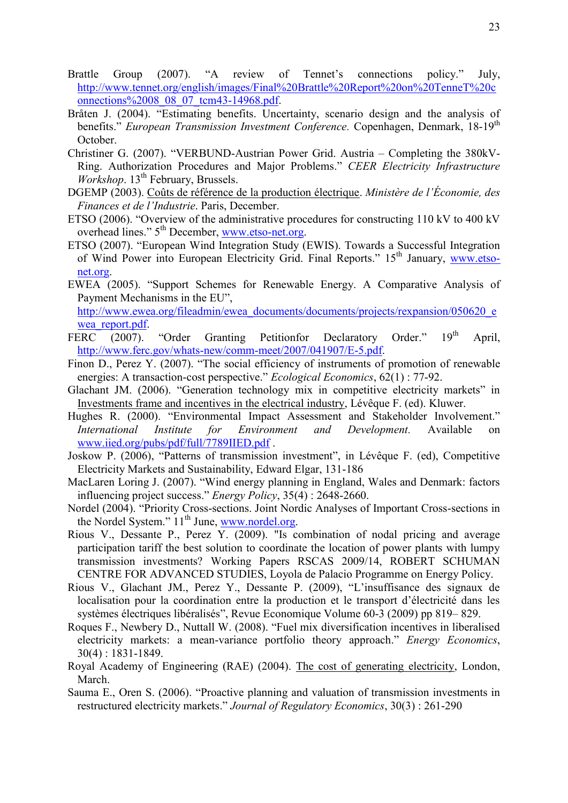- Brattle Group (2007). "A review of Tennet's connections policy." July, http://www.tennet.org/english/images/Final%20Brattle%20Report%20on%20TenneT%20c onnections%2008\_08\_07\_tcm43-14968.pdf.
- Bråten J. (2004). "Estimating benefits. Uncertainty, scenario design and the analysis of benefits." *European Transmission Investment Conference*. Copenhagen, Denmark, 18-19<sup>th</sup> October.
- Christiner G. (2007). "VERBUND-Austrian Power Grid. Austria Completing the 380kV-Ring. Authorization Procedures and Major Problems." *CEER Electricity Infrastructure Workshop*. 13<sup>th</sup> February, Brussels.
- DGEMP (2003). Coûts de référence de la production électrique. *Ministère de l'Économie, des Finances et de l'Industrie*. Paris, December.
- ETSO (2006). "Overview of the administrative procedures for constructing 110 kV to 400 kV overhead lines." 5<sup>th</sup> December, www.etso-net.org.
- ETSO (2007). "European Wind Integration Study (EWIS). Towards a Successful Integration of Wind Power into European Electricity Grid. Final Reports." 15<sup>th</sup> January, www.etsonet.org.
- EWEA (2005). "Support Schemes for Renewable Energy. A Comparative Analysis of Payment Mechanisms in the EU", http://www.ewea.org/fileadmin/ewea\_documents/documents/projects/rexpansion/050620\_e wea\_report.pdf.
- FERC (2007). "Order Granting Petitionfor Declaratory Order." 19<sup>th</sup> April, http://www.ferc.gov/whats-new/comm-meet/2007/041907/E-5.pdf.
- Finon D., Perez Y. (2007). "The social efficiency of instruments of promotion of renewable energies: A transaction-cost perspective." *Ecological Economics*, 62(1) : 77-92.
- Glachant JM. (2006). "Generation technology mix in competitive electricity markets" in Investments frame and incentives in the electrical industry, Lévêque F. (ed). Kluwer.
- Hughes R. (2000). "Environmental Impact Assessment and Stakeholder Involvement." *International Institute for Environment and Development.* Available on www.iied.org/pubs/pdf/full/7789IIED.pdf .
- Joskow P. (2006), "Patterns of transmission investment", in Lévêque F. (ed), Competitive Electricity Markets and Sustainability, Edward Elgar, 131-186
- MacLaren Loring J. (2007). "Wind energy planning in England, Wales and Denmark: factors influencing project success." *Energy Policy*, 35(4) : 2648-2660.
- Nordel (2004). "Priority Cross-sections. Joint Nordic Analyses of Important Cross-sections in the Nordel System."  $11^{th}$  June, www.nordel.org.
- Rious V., Dessante P., Perez Y. (2009). "Is combination of nodal pricing and average participation tariff the best solution to coordinate the location of power plants with lumpy transmission investments? Working Papers RSCAS 2009/14, ROBERT SCHUMAN CENTRE FOR ADVANCED STUDIES, Loyola de Palacio Programme on Energy Policy.
- Rious V., Glachant JM., Perez Y., Dessante P. (2009), "L'insuffisance des signaux de localisation pour la coordination entre la production et le transport d'électricité dans les systèmes électriques libéralisés", Revue Economique Volume 60-3 (2009) pp 819– 829.
- Roques F., Newbery D., Nuttall W. (2008). "Fuel mix diversification incentives in liberalised electricity markets: a mean-variance portfolio theory approach." *Energy Economics*, 30(4) : 1831-1849.
- Royal Academy of Engineering (RAE) (2004). The cost of generating electricity, London, March.
- Sauma E., Oren S. (2006). "Proactive planning and valuation of transmission investments in restructured electricity markets." *Journal of Regulatory Economics*, 30(3) : 261-290